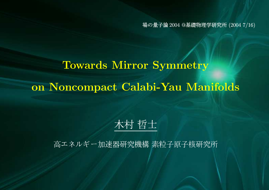の量子論 2004 @基礎物理学研究所 (2004 7/16)

# Towards Mirror Symmetry on Noncompact Calabi-Yau Manifolds

## 木村 哲士

高エネルギー加速器研究機構 素粒子原子核研究所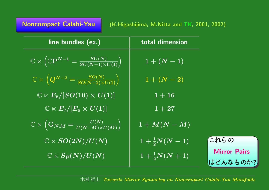| <b>Noncompact Calabi-Yau</b> |  |  |
|------------------------------|--|--|
|                              |  |  |

| line bundles (ex.)                                                                                                    | total dimension               |                                 |
|-----------------------------------------------------------------------------------------------------------------------|-------------------------------|---------------------------------|
| $\boxed{\mathbb{C} \ltimes \left(\mathbb{C} \overline{\mathbf{P}^{N-1}} = \frac{SU(N)}{SU(N-1) \times U(1)} \right)}$ | $1 + (N - 1)$                 |                                 |
| $\mathbb{C}\ltimes\overline{\left(Q^{N-2}=\overline{\frac{SO(N)}{SO(N-2)\times U(1)}}\right)}$                        | $\boxed{1 + (N - 2)}$         |                                 |
| $\mathbb{C}\ltimes E_6/[SO(10)\times U(1)]$                                                                           | $1 + 16$                      |                                 |
| $\mathbb{C}\ltimes E_7/[E_6\times U(1)]$                                                                              | $1 + 27$                      |                                 |
| $\boxed{\mathbb{C} \ltimes \left( \overline{\mathrm{G}_{N,M}} = \overline{\frac{U(N)}{U(N-M) \times U(M)}} \right)}$  | $1+M(N-M)$                    |                                 |
| $\overline{\mathbb{C}\ltimes SO(2N)/U(N)}$                                                                            | $1+\frac{1}{2}N(N-1)$         | これらの                            |
| $\mathbb{C} \ltimes Sp(N)/U(N)$                                                                                       | $\boxed{1+\frac{1}{2}N(N+1)}$ | <b>Mirror Pairs</b><br>はどんなものか? |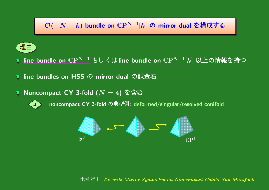### $\mathcal{O}(-N+k)$  bundle on  $\mathbb{C}\mathrm{P}^{N-1}[k]$  の mirror dual を構成する



line bundle on  $\mathbb{C}\mathrm{P}^{N-1}$  もしくはline bundle on  $\mathbb{C}\mathrm{P}^{N-1}[k]$  以上の情報を持

line bundles on HSS の mirror dual の試金

▼ Noncompact CY 3-fold  $(N = 4)$  を含む



noncompact CY 3-fold の典型例: deformed/singular/resolved conifold

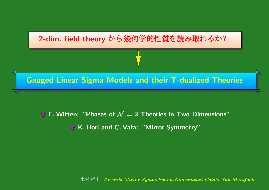

E. Witten: "Phases of  $\mathcal{N}=2$  Theories in Two Dimensions" K. Hori and C. Vafa: "Mirror Symmetry"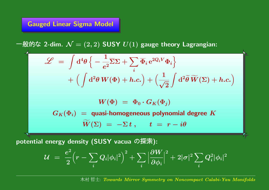#### Gauged Linear Sigma Model

般的な 2-dim.  $\mathcal{N}=(2,2)$  SUSY  $U(1)$  gauge theory Lagrangian:

$$
\mathcal{L} = \int d^4 \theta \left\{ -\frac{1}{e^2} \overline{\Sigma} \Sigma + \sum_i \overline{\Phi}_i e^{2Q_i V} \Phi_i \right\}
$$

$$
+ \left( \int d^2 \theta \, W(\Phi) + h.c. \right) + \left( \frac{1}{\sqrt{2}} \int d^2 \widetilde{\theta} \, \widetilde{W}(\Sigma) + h.c. \right)
$$

$$
W(\Phi) = \Phi_0 \cdot G_K(\Phi_j)
$$

$$
G_K(\Phi_i) = \text{quasi-homogeneous polynomial degree } K
$$

$$
\widetilde{W}(\Sigma) = -\Sigma t, \quad t = r - i\theta
$$

potential energy density (SUSY vacua の探索):

$$
\mathcal{U} \;=\; \frac{e^2}{2}\Big(r-\sum_i Q_i |\phi_i|^2\Big)^2 + \sum_i \Big|\frac{\partial W}{\partial \phi_i}\Big|^2 + 2|\sigma|^2 \sum_i Q_i^2 |\phi_i|^2
$$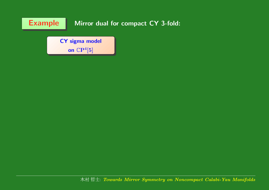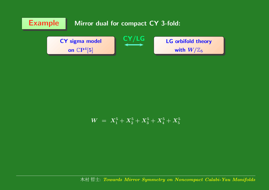

$$
W \,\,=\,\, X^5_1 + X^5_2 + X^5_3 + X^5_4 + X^5_5
$$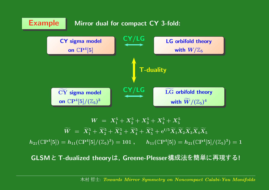

 $W \; = \; X_{1}^{5} + X_{2}^{5} + X_{3}^{5} + X_{4}^{5} + X_{5}^{5}$  $\boldsymbol{W}$  $\widetilde{\phantom{a}}$  $W \,\,=\,\, X$  $\widetilde{\phantom{a}}$  $\widetilde{X}_1^5+\widetilde{X}_2^5$  $\widetilde{X^5_2}+\widetilde{X^5_3}$  $\widetilde{X}_3^5+\widetilde{X}_4^5$  $\widetilde{X}_4^5+\widetilde{X}_5^5$  $\widetilde{X}_5^5+\mathrm{e}^{t/5}\widetilde{X}_1\widetilde{X}_2\widetilde{X}_3\widetilde{X}_4\widetilde{X}_5$  $h_{21}(\mathbb{C}P^4[5]) = h_{11}(\mathbb{C}P^4[5]/(\mathbb{Z}_5)^3) = 101\;, \qquad h_{11}(\mathbb{C}P^4[5]) = h_{21}(\mathbb{C}P^4[5]/(\mathbb{Z}_5)^3) = 101.$ 

GLSMと T-dualized theoryは, Greene-Plesser構成法を簡単に再現す |<br>|-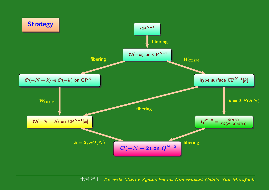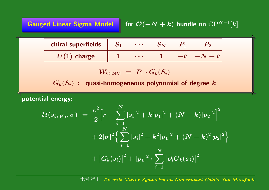| <b>Gauged Linear Sigma Model</b> for $\mathcal{O}(-N+k)$ bundle on $\mathbb{C}\mathrm{P}^{N-1}[k]$ |
|----------------------------------------------------------------------------------------------------|
|                                                                                                    |

| chiral superfields $\parallel$ . |  |  |        |
|----------------------------------|--|--|--------|
| $ U(1) $ charge                  |  |  | $-N+k$ |

$$
W_{\rm GLSM} \,\,=\,\, P_1 \cdot G_k(S_i)
$$

 $G_k(S_i)$  : quasi-homogeneous polynomial of degree  $k$ 

potential energy:

$$
\begin{aligned} \mathcal{U}(s_i,p_a,\sigma) \; &= \; \frac{e^2}{2}\Big[r-\sum_{i=1}^N |s_i|^2 + k|p_1|^2 + (N-k)|p_2|^2\Big]^2 \\ &\; + 2|\sigma|^2 \Big\{\sum_{i=1}^N |s_i|^2 + k^2|p_1|^2 + (N-k)^2|p_2|^2\Big\} \\ &\; + \big|G_k(s_i)\big|^2 + |p_1|^2 \cdot \sum_{i=1}^N \big|\partial_i G_k(s_j)\big|^2 \end{aligned}
$$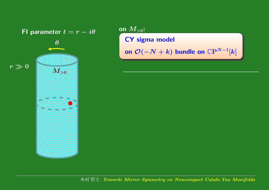

on  $M_{>0}\mathbf{:}$ CY sigma model on  $\mathcal O(-N+k)$  bundle on  $\mathbb C \mathrm P^{N-1}[k]$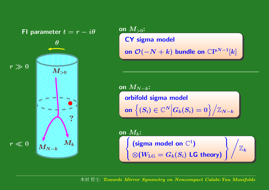

on  $M_{>0}\mathbf{:}$ CY sigma model on  $\mathcal O(-N+k)$  bundle on  $\mathbb C \mathrm P^{N-1}[k]$ 

on  $M_{N-k}\mathpunct:$ 

orbifold sigma model onn $\left|\left(S_{i}\right)\in\mathbb{C}^{N}\Big|G_{k}(S_{i})=0\right\rangle\Big/\mathbb{Z}_{N-k}$ 

on  $M_k\!\!$  :  $\sqrt{ }$  $\left\{ \begin{array}{c} \left( \text{sigma model on } \mathbb{C}^1 \right) \ \otimes (W_\text{LG} = G_k(S_i) \; \textsf{LG theory}) \end{array} \right\} \Bigg/ \mathbb{Z}_k$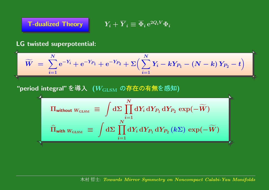

$$
\textbf{\textsf{T}-dualized Theory}}\qquad \qquad Y_i+\overline{Y}_i\equiv \overline{\Phi}_i\,\mathrm{e}^{2Q_iV}\Phi_i
$$

#### LG twisted superpotential:

$$
\widetilde{W} = \sum_{i=1}^{N} e^{-Y_i} + e^{-Y_{P_1}} + e^{-Y_{P_2}} + \Sigma \Big( \sum_{i=1}^{N} Y_i - kY_{P_1} - (N - k) Y_{P_2} - t \Big)
$$

#### "period integral" を導入  $\,$   $(W_{\text{GLSM}}\,$  の存在の有無を感知)

$$
\Pi_{\text{without }W_{\text{GLSM}}} \equiv \int d\Sigma \prod_{i=1}^{N} dY_{i} \, dY_{P_{1}} \, dY_{P_{2}} \, \exp(-\widetilde{W})
$$
\n
$$
\widehat{\Pi}_{\text{with }W_{\text{GLSM}}} \equiv \int d\Sigma \prod_{i=1}^{N} dY_{i} \, dY_{P_{1}} \, dY_{P_{2}} \, (k\Sigma) \, \exp(-\widetilde{W})
$$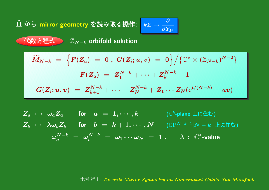#### Π  $\widehat{\phantom{a}}$ ら mirror geometry を読み取る操作: <mark>k∑</mark>

$$
k\Sigma \rightarrow \frac{\partial}{\partial Y_{P_1}}\Bigg[
$$

#### 数方程式  $\qquad \qquad \mathbb{Z}_{N-k}$  orbifold solution

$$
\widetilde{M}_{N-k} \;=\; \Big\{F(Z_a) \;=\; 0\;,\; G(Z_i;u,v) \;=\; 0\Big\}\Big/\big\{\mathbb{C}^*\times(\mathbb{Z}_{N-k})^{N-2}\big\}\\ F(Z_a) \;=\; Z_1^{N-k}+\cdots+Z_k^{N-k}+1\\ G(Z_i;u,v) \;=\; Z_{k+1}^{N-k}+\cdots+Z_N^{N-k}+Z_1\cdots Z_N({\rm e}^{t/(N-k)}-uv)
$$

Za 7→ <sup>ω</sup>aZ<sup>a</sup> for <sup>a</sup> <sup>=</sup> 1, · · · , k (C<sup>k</sup>-plane  ) Zb 7→ λωbZ<sup>b</sup> for b <sup>=</sup> k + 1, · · · , N (CP<sup>N</sup>−k−<sup>1</sup>[<sup>N</sup> <sup>−</sup> <sup>k</sup>]  ) <sup>ω</sup>N−<sup>k</sup> a<sup>=</sup> <sup>ω</sup>N−<sup>k</sup> <sup>b</sup> <sup>=</sup> <sup>ω</sup><sup>1</sup> · · · <sup>ω</sup><sup>N</sup> <sup>=</sup> <sup>1</sup> , <sup>λ</sup> : <sup>C</sup><sup>∗</sup>-value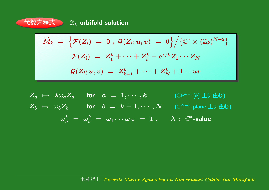

$$
\widetilde{M}_k \;=\; \Big\{ \mathcal{F}(Z_i) \;=\; 0\;,\; \mathcal{G}(Z_i;u,v) \;=\; 0 \Big\} \Big/ \big\{ \mathbb{C}^* \times (\mathbb{Z}_k)^{N-2} \big\} \notag\\ \mathcal{F}(Z_i) \;=\; Z_1^k + \cdots + Z_k^k + \mathrm{e}^{\tau/k} Z_1 \cdots Z_N \notag\\ \mathcal{G}(Z_i;u,v) \;=\; Z_{k+1}^k + \cdots + Z_N^k + 1 - uv
$$

$$
Z_a \mapsto \lambda \omega_a Z_a \quad \text{for} \quad a = 1, \cdots, k \quad \text{(CPk-1[k] \text{ Let } \text{Eb})}
$$
\n
$$
Z_b \mapsto \omega_b Z_b \quad \text{for} \quad b = k+1, \cdots, N \quad \text{(CN-k-plane \text{ Let } \text{Eb})}
$$
\n
$$
\omega_a^k = \omega_b^k = \omega_1 \cdots \omega_N = 1 \,, \quad \lambda : \mathbb{C}^* \text{-value}
$$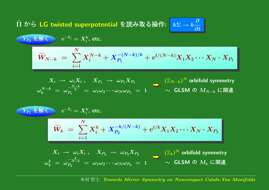Π  $\widehat{\phantom{a}}$ ら LG twisted superpotential を読み取る操作: k∑→

$$
Y_{P_2} \stackrel{\star}{\star} \stackrel{\star}{\mathfrak{M}} \stackrel{\star}{\smile} \quad e^{-Y_i} = X_i^k, \text{ etc.}
$$
\n
$$
\widetilde{W}_{N-k} = \sum_{i=1}^N X_i^{N-k} + X_{P_1}^{-(N-k)/k} + e^{t/(N-k)} X_1 X_2 \cdots X_N \cdot X_{P_1}
$$
\n
$$
X_i \to \omega_i X_i, \quad X_{P_1} \to \omega_{P_1} X_{P_1}
$$
\n
$$
\omega_k^{N-k} = \omega_{P_1}^{-\frac{N-k}{k}} = \omega_1 \omega_2 \cdots \omega_N \omega_{P_1} = 1 \qquad \sim \text{GLSM } \mathcal{D} \, M_{N-k} \text{ L} \mathbb{H} \mathbb{H}
$$

$$
\begin{aligned}\nY_{P_1} \stackrel{\text{def}}{\leq} & \mathbb{W}_k \end{aligned} = \sum_{i=1}^N X_i^k + X_{P_2}^{-k/(N-k)} + \mathrm{e}^{t/k} X_1 X_2 \cdots X_N \cdot X_{P_2} \\
X_i \to \omega_i X_i, \quad X_{P_2} \to \omega_{P_2} X_{P_2} \qquad (\mathbb{Z}_k)^N \text{ orbifold symmetry} \\
\omega_k^k \end{aligned}
$$
\n
$$
\omega_k^k = \omega_{P_2}^{-\frac{k}{N-k}} = \omega_1 \omega_2 \cdots \omega_N \omega_{P_2} = 1 \qquad \sim \text{GLSM } \mathcal{O} \text{ } M_k \text{ } \Box \text{ }\mathbb{H}
$$

村 哲士: Towards Mirror Symmetry on Noncompact Calabi-Yau Manifolds

 $\rightarrow k\frac{\partial}{\partial t}$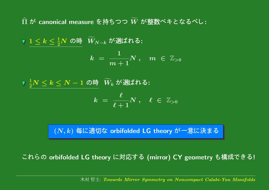Π  $\widehat{\phantom{a}}$ -canonical measure を持ちつつ  $W$  $\widetilde{\phantom{m}}$ 整数ベキとなるべし:

 $1\leq k\leq \frac{1}{2}N$  の時  $\widetilde{W}_{1}$  $W_{N-k}$  が選ばれる:

$$
k \; = \; \frac{1}{m+1}N \; , \quad m \; \in \; {\mathbb Z}_{>0}
$$

1  $\frac{1}{2}N \leq k \leq N-1$  の時  $\widetilde{W}_{k}$  $W_k$  が選ばれる:

$$
k \,\, = \,\, \frac{\ell}{\ell + 1} N \,\, , \quad \ell \,\, \in \,\, \mathbb{Z}_{>0}
$$

 $(N,k)$  毎に適切な orbifolded <code>LG</code> theory が一意に決まる

れらの orbifolded LG theory に対応する (mirror) CY geometry も構成できる |<br>|-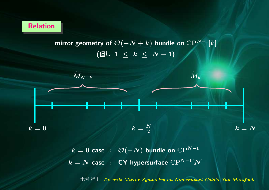

mirror geometry of  $\mathcal{O}(-N+k)$  bundle on  $\mathbb{C}\mathrm{P}^{N-1}[k]$ ( $f(E\cup 1 ≤ k ≤ N - 1)$ 



 $k=0$  case  $:\;\;\mathcal{O}(-N)$  bundle on  $\mathbb{C}\textrm{P}^{N-1}$  $k=N$  case  $\; : \;$  CY hypersurface  $\mathbb{C}{\rm P}^{N-1}[N]$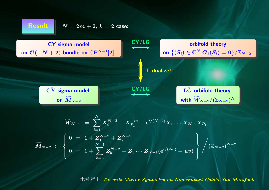

#### $\mathbf{L} \qquad N=2m+2, \, k=2 \,\, \mathsf{case}$ :



$$
\widetilde{W}_{N-2}\;=\;\sum_{i=1}^{N}X_i^{N-2}+X_{P_1}^{-m}+\mathrm{e}^{t/(N-2)}X_1\cdots X_N\cdot X_{P_1}\\ \widetilde{M}_{N-2}\;:\;\left.\begin{cases}0\;=\;1+Z_1^{N-2}+Z_2^{N-2} \\ 0\;=\;1+\sum_{b=3}^{N-1}Z_b^{N-2}+Z_1\cdots Z_{N-1}(\mathrm{e}^{t/(2m)}-uv) \end{cases}\right\}\Bigg/\big(\mathbb{Z}_{N-2}\big)^{N-2}
$$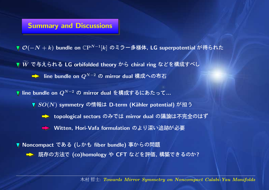#### Summary and Discussions

 $\mathcal{O}(-N+k)$  bundle on  $\mathbb{C}\mathrm{P}^{N-1}[k]$  のミラー多様体, LG superpotential が得られ

- $\boldsymbol{W}$ /<br>// 与えられる LG orbifolded theory から chiral ring などを構成すべ
	- line bundle on  $Q^{N-2}$  の mirror dual 構成への布

line bundle on  $Q^{N-2}$  の mirror dual を構成するにあたって…

- $\blacktriangledown$   $SO(N)$  symmetry の情報は D-term (Kähler potential) が担う
	- topological sectors のみでは mirror dual の議論は不完全のはず
	- Witten, Hori-Vafa formulation )<sup>+</sup>,-./012

▼ Noncompact である (しかも fiber bundle) 事からの問題 → 既存の方法で (co)homology や CFT などを評価, 構築できるのか?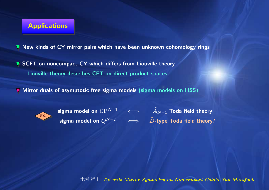#### **Applications**

New kinds of CY mirror pairs which have been unknown cohomology rings

SCFT on noncompact CY which differs from Liouville theory Liouville theory describes CFT on direct product spaces

Mirror duals of asymptotic free sigma models (sigma models on HSS)



sigma model on  $Q^{N-2}\quad\iff\quad\widehat D\text{-type}$  Toda field theory?

sigma model on  $\mathbb{C}\mathrm{P}^{N-1} \quad \iff \quad \widehat{A}_{N-1}$  Toda field theory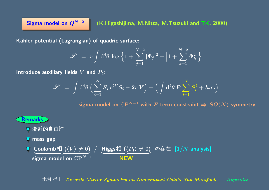Sigma model on  $Q^{N-2}$  (K.Higashijima, M.Nitta, M.Tsuzuki and TK, 2000)

Kähler potential (Lagrangian) of quadric surface:

$$
\mathscr{L} \; = \; r \int \mathrm{d}^4 \theta \, \log \Big\{ 1 + \sum_{j=1}^{N-2} |\Phi_j|^2 + \Big| 1 + \sum_{k=1}^{N-2} \Phi_k^2 \Big| \Big\}
$$

Introduce auxiliary fields  $V$  and  $P_1\!\!$  :

$$
\mathscr{L} \;=\; \int \mathrm{d}^4 \theta \,\Big( \sum_{i=1}^N \overline{S}_i\, \mathrm{e}^{2V} S_i - 2r\, V \Big) + \Big( \int \mathrm{d}^2 \theta\, P_1 \! \sum_{i=1}^N S_i^2 + h.c. \Big)
$$

sigma model on  $\mathbb{C}P^{N-1}$  with F-term constraint  $\Rightarrow SO(N)$  symmetry

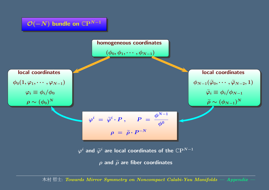

村 哲士: Towards Mirror Symmetry on Noncompact Calabi-Yau Manifolds — Appendix —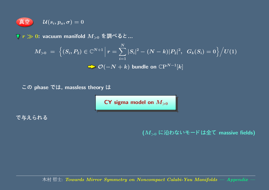$$
\boxed{\textbf{\textcolor{blue}{\bar{\textbf{A}}}}} \hspace{-1.5mm} \mathbf{\hat{\Xi}} \hspace{-1.5mm} \mathbf{\hat{B}} \hspace{-1.5mm} \mathbf{\hat{B}} \hspace{-1.5mm} \mathbf{\hat{B}} \hspace{-1.5mm} \mathbf{\hat{B}} \hspace{-1.5mm} \mathbf{\hat{B}} \hspace{-1.5mm} \mathbf{\hat{B}} \hspace{-1.5mm} \mathbf{\hat{B}} \hspace{-1.5mm} \mathbf{\hat{B}} \hspace{-1.5mm} \mathbf{\hat{B}} \hspace{-1.5mm} \mathbf{\hat{B}} \hspace{-1.5mm} \mathbf{\hat{B}} \hspace{-1.5mm} \mathbf{\hat{B}} \hspace{-1.5mm} \mathbf{\hat{B}} \hspace{-1.5mm} \mathbf{\hat{B}} \hspace{-1.5mm} \mathbf{\hat{B}} \hspace{-1.5mm} \mathbf{\hat{B}} \hspace{-1.5mm} \mathbf{\hat{B}} \hspace{-1.5mm} \mathbf{\hat{B}} \hspace{-1.5mm} \mathbf{\hat{B}} \hspace{-1.5mm} \mathbf{\hat{B}} \hspace{-1.5mm} \mathbf{\hat{B}} \hspace{-1.5mm} \mathbf{\hat{B}} \hspace{-1.5mm} \mathbf{\hat{B}} \hspace{-1.5mm} \mathbf{\hat{B}} \hspace{-1.5mm} \mathbf{\hat{B}} \hspace{-1.5mm} \mathbf{\hat{B}} \hspace{-1.5mm} \mathbf{\hat{B}} \hspace{-1.5mm} \mathbf{\hat{B}} \hspace{-1.5mm} \mathbf{\hat{B}} \hspace{-1.5mm} \mathbf{\hat{B}} \hspace{-1.5mm} \mathbf{\hat{B}} \hspace{-1.5mm} \mathbf{\hat{B}} \hspace{-1.5mm} \mathbf{\hat{B}} \hspace{-1.5mm} \mathbf{\hat{B}} \hspace{-1.5mm} \mathbf{\hat{B}} \hspace{-1.5mm} \mathbf{\hat{B}} \hspace{-1.5mm} \mathbf{\hat{B}} \hspace{-1.5mm} \mathbf{\hat{B}} \hspace{-1.5mm} \mathbf{\hat{B}} \hspace{-1.5mm} \mathbf{\hat{B}} \hspace{-1.5mm} \mathbf{\hat{B}} \hspace{-1.5mm} \mathbf{\hat{B}} \hspace{-1.5mm}
$$

 $r \gg \mathbf{0}$ : vacuum manifold  $M_{>0}$  を調べると ...

$$
M_{>0} = \left\{ (S_i, P_2) \in \mathbb{C}^{N+1} \, \Big| \, r = \sum_{i=1}^N |S_i|^2 - (N-k)|P_2|^2, \, G_k(S_i) = 0 \right\} \Big/ U(1)
$$
  

$$
\sum \mathcal{O}(-N+k) \text{ bundle on } \mathbb{C}P^{N-1}[k]
$$

 $\varphi$  phase  $\zeta(t)$ , massless theory

 ${\sf CY}$  sigma model on  $M_{>0}$ 

で与えられる

( $M_{>0}$  に沿わないモードは全て massive fields)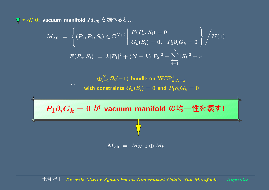$r \ll \mathbf{0}$ : vacuum manifold  $M_{< 0}$  を調べると ...

$$
M_{<0}\;=\;\left\{(P_1,P_2,S_i)\in\mathbb{C}^{N+2}\left|\begin{array}{l}F(P_a,S_i)=0\\ G_k(S_i)=0,\;\;P_1\partial_iG_k=0\end{array}\right\}\right/U(1)\\ F(P_a,S_i)\;=\;k|P_1|^2+(N-k)|P_2|^2-\sum_{i=1}^N|S_i|^2+r
$$

 $\mathbb{G}_{i=1}^N$  $\mathcal{O}_i(-1)$  bundle on  $\text{WCP}^1_{k,N-k}$ with constraints  $G_k(S_i)=0$  and  $P_1\partial_i G_k=0$ 



 $\overline{M_{< 0}} \; = \; M_{N-k} \oplus \overline{M_k}$ 

村 哲士: Towards Mirror Symmetry on Noncompact Calabi-Yau Manifolds — Appendix —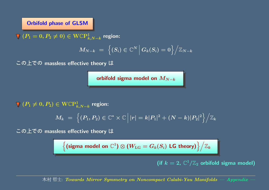#### Orbifold phase of GLSM

 $\nabla$   $(P_1 = 0, P_2 \neq 0) \in \text{WCP}^1_{k,N-k}$  region:

$$
M_{N-k} \,\, = \,\, \Big\{ (S_i) \in \mathbb{C}^N \, \Big| \, G_k(S_i) = 0 \Big\} \Big/ \mathbb{Z}_{N-k}
$$

 $\mathcal{D}$  )  $\mathcal{L}$   $\mathcal{D}$  massless effective theory

orbifold sigma model on  $M_{N-k}$ 

 $(P_1 \neq 0, P_2) \in \mathrm{WCP}^1_{k,N-k}$  region:

$$
M_k \;=\; \Big\{ (P_1,P_2) \in \mathbb{C}^* \times \mathbb{C} \, \Big| \, |r| = k|P_1|^2 + (N-k)|P_2|^2 \Big\} \Big/ \mathbb{Z}_k
$$

 $\mathcal{D}$  )  $\mathcal{L}$   $\mathcal{D}$  massless effective theory

$$
\Big\{ \text{(sigma model on $\mathbb{C}^1$)} \otimes (W_{\rm LG} = G_k(S_i) \text{ \textsf{LG theory}} \text{)} \Big\} \Big/ \mathbb{Z}_k
$$

(if  $k = 2$ ,  $\mathbb{C}^1/\mathbb{Z}_2$  orbifold sigma model)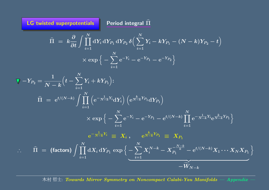LG twisted superpotentials  $\qquad$  Period integral  $\Pi$ 

b

$$
\begin{aligned} \widehat{\Pi} \; &= \; k \frac{\partial}{\partial t} \int \prod_{i=1}^N \mathrm{d} Y_i \, \mathrm{d} Y_{P_1} \, \mathrm{d} Y_{P_2} \, \delta \Big( \sum_{i=1}^N Y_i - k Y_{P_1} - (N-k) Y_{P_2} - t \Big) \\ & \qquad \qquad \times \exp \Big\{ - \sum_{i=1}^N \mathrm{e}^{-Y_i} - \mathrm{e}^{-Y_{P_1}} - \mathrm{e}^{-Y_{P_2}} \Big\} \end{aligned}
$$

$$
\begin{aligned}\n\nabla - Y_{P_2} &= \frac{1}{N-k} \Big( t - \sum_{i=1}^N Y_i + k Y_{P_1} \Big) \colon \\
\widehat{\Pi} \ &= \ \mathrm{e}^{t/(N-k)} \int \prod_{i=1}^N \Big( \mathrm{e}^{-\frac{1}{N-k} Y_i} \mathrm{d} Y_i \Big) \, \Big( \mathrm{e}^{\frac{k}{N-k} Y_{P_1}} \mathrm{d} Y_{P_1} \Big) \\
&\quad \times \exp \Big\{ - \sum_{i=1}^N \mathrm{e}^{-Y_i} - \mathrm{e}^{-Y_{P_1}} - \mathrm{e}^{t/(N-k)} \prod_{i=1}^N \mathrm{e}^{-\frac{1}{N-k} Y_i} \mathrm{e}^{\frac{k}{N-k} Y_{P_1}} \Big\} \\
&\quad \mathrm{e}^{-\frac{1}{N-k} Y_i} &\equiv \ X_i \ , \qquad \mathrm{e}^{\frac{k}{N-k} Y_{P_1}} &\equiv \ X_{P_1} \\
\therefore \quad \widehat{\Pi} \ &= \ \big(\text{factors}\big) \int \prod_{i=1}^N \mathrm{d} X_i \, \mathrm{d} Y_{P_1} \, \exp \Big\{ \underbrace{- \sum_{i=1}^N X_i^{N-k} - X_{P_1}^{-\frac{N-k}{k}} - \mathrm{e}^{t/(N-k)} X_1 \cdots X_N X_{P_1}}_{- \widetilde{W}_{N-k}} \Big\} \end{aligned}
$$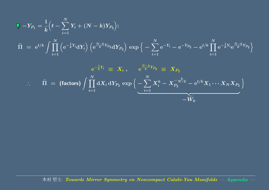$$
\begin{array}{l} \displaystyle \nabla -Y_{P_{1}}=\frac{1}{k}\Big(t-\sum_{i=1}^{N}Y_{i}+(N-k)Y_{P_{2}}\Big)\! : \\ \\ \displaystyle \widehat{\Pi} \;=\; {\rm e}^{t/k}\int \prod_{i=1}^{N}\Big({\rm e}^{-\frac{1}{k}Y_{i}}{\rm d}Y_{i}\Big)\,\Big({\rm e}^{\frac{N-k}{k}Y_{P_{2}}}{\rm d}Y_{P_{2}}\Big)\,\exp\Big\{-\sum_{i=1}^{N}{\rm e}^{-Y_{i}}-{\rm e}^{-Y_{P_{2}}}-{\rm e}^{t/k}\prod_{i=1}^{N}{\rm e}^{-\frac{1}{k}Y_{i}}{\rm e}^{\frac{N-k}{k}Y_{P_{2}}}\Big\}\\ \\ \displaystyle {\rm e}^{-\frac{1}{k}Y_{i}} \;\equiv\; X_{i}\; , \qquad {\rm e}^{\frac{N-k}{k}Y_{P_{2}}}\;\equiv\; X_{P_{2}} \\ \\ \displaystyle \therefore \qquad \widehat{\Pi} \;=\; \big(\text{factors}\big)\int \prod_{i=1}^{N}{\rm d}X_{i}\,{\rm d}Y_{P_{2}}\,\exp\Big\{-\sum_{i=1}^{N}X^{k}_{i}-X_{P_{2}}^{-\frac{k}{N-k}}-{\rm e}^{t/k}X_{1}\cdots X_{N}X_{P_{2}}\Big\}\\ \\ \displaystyle \hspace{0.1cm}\longrightarrow \widetilde{W_{k}} \end{array}
$$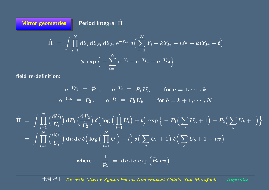Π  $\widehat{\phantom{a}}$  = $\int \prod_{i=1}^N \mathrm{d} Y_i \, \mathrm{d} Y_{P_1} \, \mathrm{d} Y_{P_2} \, \mathrm{e}^{-Y_{P_1}} \, \delta \Big( \sum_{i=1}^N Y_i - k Y_{P_1} - (N-k) Y_{P_2} - t \Big)$ × $\times \exp\Big\{-\sum$  $\bm{N}$  $i{=}1$  $\mathrm{e}^{-Y_i}$  —  $\Big\{-\mathrm{e}^{-Y_{P_1}}-\mathrm{e}^{-Y_{P_2}}\Big\}$ 

field re-definition:

**Mirror geometries** 

r geometries  $\qquad \qquad$  Period integral  $\widehat{\Pi}$ 

$$
\begin{aligned}\n\mathrm{e}^{-Y_{P_1}} &\equiv \widetilde{P}_1 \ , \qquad \mathrm{e}^{-Y_a} &\equiv \widetilde{P}_1 \, U_a \qquad \text{for } a = 1, \cdots, k \\
\mathrm{e}^{-Y_{P_2}} &\equiv \widetilde{P}_2 \ , \qquad \mathrm{e}^{-Y_b} &\equiv \widetilde{P}_2 \, U_b \qquad \text{for } b = k+1, \cdots, N\n\end{aligned}
$$

$$
\begin{aligned}\n\widehat{\Pi} &= \int \prod_{i=1}^{N} \left( \frac{\mathrm{d}U_{i}}{U_{i}} \right) \mathrm{d}\widetilde{P}_{1} \left( \frac{\mathrm{d}\widetilde{P}_{2}}{\widetilde{P}_{2}} \right) \delta \Big( \log \Big( \prod_{i=1}^{N} U_{i} \Big) + t \Big) \exp \Big\{ - \widetilde{P}_{1} \Big( \sum_{a} U_{a} + 1 \Big) - \widetilde{P}_{2} \Big( \sum_{b} U_{b} + 1 \Big) \Big\} \\
&= \int \prod_{i=1}^{N} \left( \frac{\mathrm{d}U_{i}}{U_{i}} \right) \mathrm{d}u \, \mathrm{d}v \, \delta \Big( \log \Big( \prod_{i=1}^{N} U_{i} \Big) + t \Big) \, \delta \Big( \sum_{a} U_{a} + 1 \Big) \, \delta \Big( \sum_{b} U_{b} + 1 - uv \Big) \\
&\text{where} \quad \frac{1}{\widetilde{P}_{2}} &= \mathrm{d}u \, \mathrm{d}v \, \exp \Big( \widetilde{P}_{2} \, uv \Big)\n\end{aligned}
$$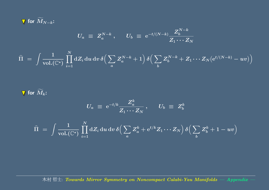

$$
U_a \; \equiv \; Z_a^{N-k} \; , \quad \ U_b \; \equiv \; {\rm e}^{-t/(N-k)} \frac{Z_b^{N-k}}{Z_1 \cdots Z_N}
$$

$$
\widehat{\Pi} \;=\; \int \frac{1}{\text{vol.}(\mathbb{C}^*)}\prod_{i=1}^N \text{d} Z_i \,\text{d} u \,\text{d} v \,\delta\Big(\sum_a Z^{N-k}_a +1\Big) \,\delta\Big(\sum_b Z^{N-k}_b + Z_1\cdots Z_N\big(\mathrm{e}^{t/(N-k)}-uv\big)\Big)
$$

for  $\bm{M}$  $\widetilde{\phantom{m}}$ (VI  $_k$  :

$$
U_a \; \equiv \; {\rm e}^{-t/k} \frac{Z_a^k}{Z_1 \cdots Z_N} \, , \quad \ \ U_b \; \equiv \; Z_b^k
$$

$$
\widehat{\Pi} \;=\; \int \frac{1}{\mathrm{vol.}(\mathbb{C}^*)}\prod_{i=1}^N \mathrm{d} Z_i \, \mathrm{d} u \, \mathrm{d} v \, \delta \Big( \sum_a Z_a^k + \mathrm{e}^{t/k} Z_1 \cdots Z_N \Big) \, \delta \Big( \sum_b Z_b^k + 1 - uv \Big)
$$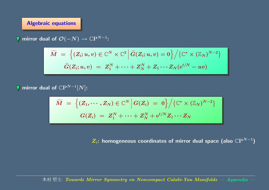#### Algebraic equations

mirror dual of  $\mathcal O(-N)\to \mathbb C \mathrm P^{N-1}$ :

$$
\widetilde{M} \;=\; \Big\{ (Z_i;u,v) \in \mathbb{C}^N \times \mathbb{C}^2 \, \Big| \, \widetilde{G}(Z_i;u,v) = 0 \Big\} \Big/ \{ \mathbb{C}^* \times (\mathbb{Z}_N)^{N-2} \}\\ \widetilde{G}(Z_i;u,v) \;=\; Z_1^N + \cdots + Z_N^N + Z_1 \cdots Z_N (\mathrm{e}^{t/N} - uv)
$$

mirror dual of  $\mathbb{C}\mathrm{P}^{N-1}[N]$ :

$$
\widetilde{M} \;=\; \Big\{ (Z_1,\cdots,Z_N) \in \mathbb{C}^N \, \Big| \, G(Z_i) \;=\; 0 \Big\} \Big/ \big\{ \mathbb{C}^* \times (\mathbb{Z}_N)^{N-2} \big\} \\[2mm] \hspace{25mm} G(Z_i) \;=\; Z_1^N + \cdots + Z_N^N + \mathrm{e}^{t/N} Z_1 \cdots Z_N
$$

 $Z_i$ : homogeneous coordinates of mirror dual space (also  $\mathbb{C}P^{N-1}$ )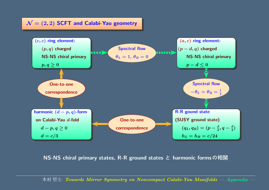#### $\mathcal{N}=(2,2)$  SCFT and Calabi-Yau geometry



NS-NS chiral primary states, R-R ground states と harmonic formsの相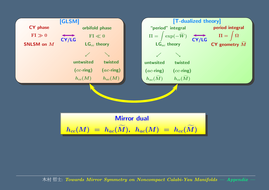